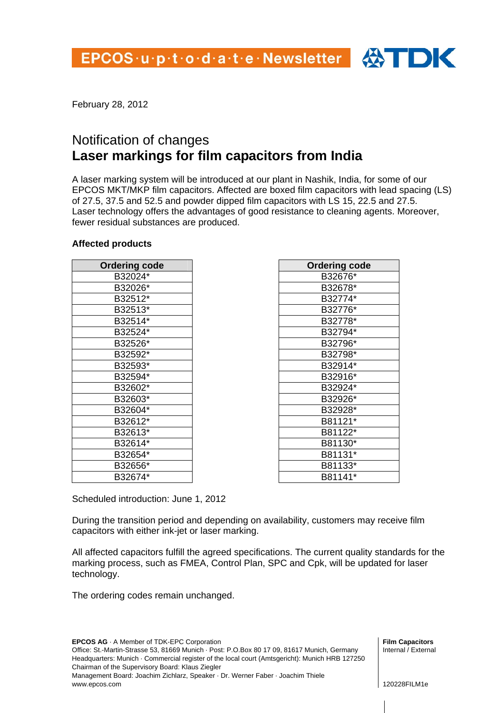

## Notification of changes **Laser markings for film capacitors from India**

A laser marking system will be introduced at our plant in Nashik, India, for some of our EPCOS MKT/MKP film capacitors. Affected are boxed film capacitors with lead spacing (LS) of 27.5, 37.5 and 52.5 and powder dipped film capacitors with LS 15, 22.5 and 27.5. Laser technology offers the advantages of good resistance to cleaning agents. Moreover, fewer residual substances are produced.

#### **Affected products**

| <b>Ordering code</b> |
|----------------------|
| B32024*              |
| B32026*              |
| B32512*              |
| B32513*              |
| B32514*              |
| B32524*              |
| B32526*              |
| B32592*              |
| B32593*              |
| B32594*              |
| B32602*              |
| B32603*              |
| B32604*              |
| B32612*              |
| B32613*              |
| B32614*              |
| B32654*              |
| B32656*              |
| B32674*              |

| <b>Ordering code</b> |
|----------------------|
| B32676*              |
| B32678*              |
| B32774*              |
| B32776*              |
| B32778*              |
| B32794*              |
| B32796*              |
| B32798*              |
| B32914*              |
| B32916*              |
| B32924*              |
| B32926*              |
| B32928*              |
| B81121*              |
| B81122*              |
| B81130*              |
| B81131*              |
| B81133*              |
| B81141*              |

Scheduled introduction: June 1, 2012

During the transition period and depending on availability, customers may receive film capacitors with either ink-jet or laser marking.

All affected capacitors fulfill the agreed specifications. The current quality standards for the marking process, such as FMEA, Control Plan, SPC and Cpk, will be updated for laser technology.

The ordering codes remain unchanged.

**EPCOS AG** · A Member of TDK-EPC Corporation Office: St.-Martin-Strasse 53, 81669 Munich · Post: P.O.Box 80 17 09, 81617 Munich, Germany

Headquarters: Munich · Commercial register of the local court (Amtsgericht): Munich HRB 127250 Chairman of the Supervisory Board: Klaus Ziegler

Management Board: Joachim Zichlarz, Speaker · Dr. Werner Faber · Joachim Thiele www.epcos.com

**Film Capacitors**  Internal / External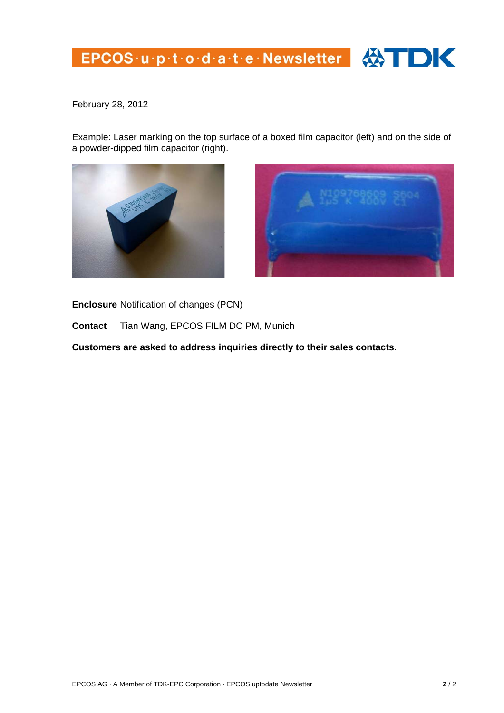# EPCOS·u·p·t·o·d·a·t·e·Newsletter 4



February 28, 2012

Example: Laser marking on the top surface of a boxed film capacitor (left) and on the side of a powder-dipped film capacitor (right).





**Enclosure** Notification of changes (PCN)

**Contact** Tian Wang, EPCOS FILM DC PM, Munich

**Customers are asked to address inquiries directly to their sales contacts.**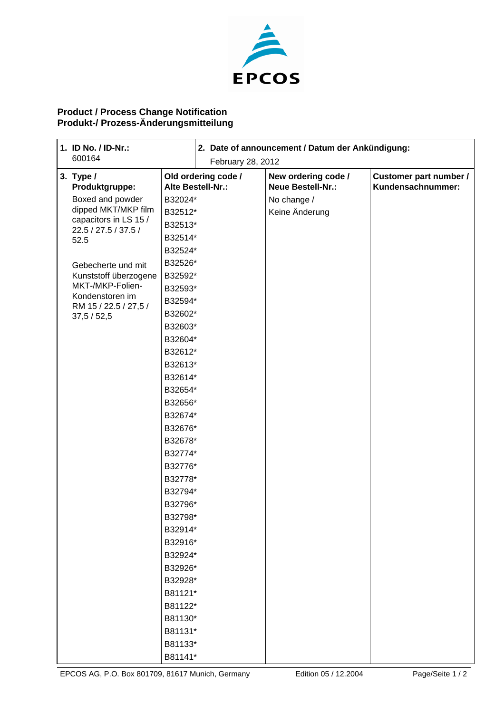

## **Product / Process Change Notification Produkt-/ Prozess-Änderungsmitteilung**

|  | 1. ID No. / ID-Nr.:<br>600164                                                                                                                               |         | 2. Date of announcement / Datum der Ankündigung: |                                                 |                                             |
|--|-------------------------------------------------------------------------------------------------------------------------------------------------------------|---------|--------------------------------------------------|-------------------------------------------------|---------------------------------------------|
|  |                                                                                                                                                             |         | February 28, 2012                                |                                                 |                                             |
|  | 3. Type $/$<br>Produktgruppe:                                                                                                                               |         | Old ordering code /<br>Alte Bestell-Nr.:         | New ordering code /<br><b>Neue Bestell-Nr.:</b> | Customer part number /<br>Kundensachnummer: |
|  | Boxed and powder<br>B32024*                                                                                                                                 |         |                                                  | No change /                                     |                                             |
|  | dipped MKT/MKP film                                                                                                                                         | B32512* |                                                  | Keine Änderung                                  |                                             |
|  | capacitors in LS 15 /                                                                                                                                       | B32513* |                                                  |                                                 |                                             |
|  | 22.5 / 27.5 / 37.5 /<br>B32514*<br>52.5<br>B32524*                                                                                                          |         |                                                  |                                                 |                                             |
|  |                                                                                                                                                             |         |                                                  |                                                 |                                             |
|  | Gebecherte und mit                                                                                                                                          | B32526* |                                                  |                                                 |                                             |
|  | Kunststoff überzogene<br>B32592*<br>MKT-/MKP-Folien-<br>B32593*<br>Kondenstoren im<br>B32594*<br>RM 15 / 22.5 / 27,5 /<br>B32602*<br>37,5 / 52,5<br>B32603* |         |                                                  |                                                 |                                             |
|  |                                                                                                                                                             |         |                                                  |                                                 |                                             |
|  |                                                                                                                                                             |         |                                                  |                                                 |                                             |
|  |                                                                                                                                                             |         |                                                  |                                                 |                                             |
|  |                                                                                                                                                             |         |                                                  |                                                 |                                             |
|  |                                                                                                                                                             | B32604* |                                                  |                                                 |                                             |
|  |                                                                                                                                                             | B32612* |                                                  |                                                 |                                             |
|  |                                                                                                                                                             | B32613* |                                                  |                                                 |                                             |
|  |                                                                                                                                                             | B32614* |                                                  |                                                 |                                             |
|  |                                                                                                                                                             | B32654* |                                                  |                                                 |                                             |
|  |                                                                                                                                                             | B32656* |                                                  |                                                 |                                             |
|  |                                                                                                                                                             | B32674* |                                                  |                                                 |                                             |
|  |                                                                                                                                                             | B32676* |                                                  |                                                 |                                             |
|  |                                                                                                                                                             | B32678* |                                                  |                                                 |                                             |
|  |                                                                                                                                                             | B32774* |                                                  |                                                 |                                             |
|  |                                                                                                                                                             | B32776* |                                                  |                                                 |                                             |
|  |                                                                                                                                                             | B32778* |                                                  |                                                 |                                             |
|  |                                                                                                                                                             | B32794* |                                                  |                                                 |                                             |
|  |                                                                                                                                                             | B32796* |                                                  |                                                 |                                             |
|  |                                                                                                                                                             | B32798* |                                                  |                                                 |                                             |
|  |                                                                                                                                                             | B32914* |                                                  |                                                 |                                             |
|  |                                                                                                                                                             | B32916* |                                                  |                                                 |                                             |
|  |                                                                                                                                                             | B32924* |                                                  |                                                 |                                             |
|  |                                                                                                                                                             | B32926* |                                                  |                                                 |                                             |
|  |                                                                                                                                                             | B32928* |                                                  |                                                 |                                             |
|  |                                                                                                                                                             | B81121* |                                                  |                                                 |                                             |
|  |                                                                                                                                                             | B81122* |                                                  |                                                 |                                             |
|  |                                                                                                                                                             | B81130* |                                                  |                                                 |                                             |
|  |                                                                                                                                                             | B81131* |                                                  |                                                 |                                             |
|  |                                                                                                                                                             | B81133* |                                                  |                                                 |                                             |
|  |                                                                                                                                                             | B81141* |                                                  |                                                 |                                             |